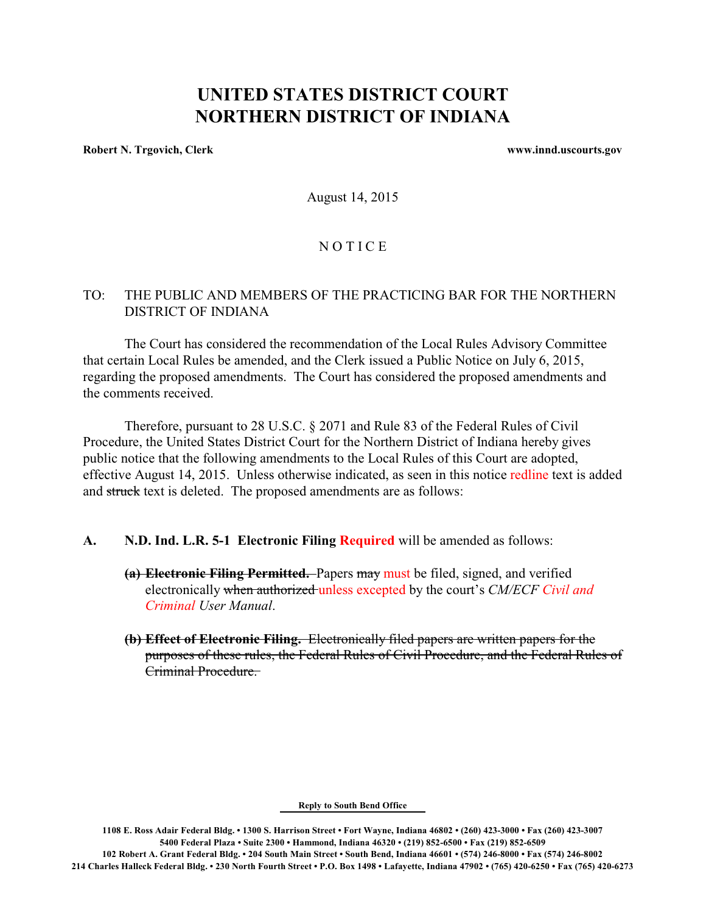# **UNITED STATES DISTRICT COURT NORTHERN DISTRICT OF INDIANA**

**Robert N. Trgovich, Clerk www.innd.uscourts.gov**

August 14, 2015

### **NOTICE**

## TO: THE PUBLIC AND MEMBERS OF THE PRACTICING BAR FOR THE NORTHERN DISTRICT OF INDIANA

The Court has considered the recommendation of the Local Rules Advisory Committee that certain Local Rules be amended, and the Clerk issued a Public Notice on July 6, 2015, regarding the proposed amendments. The Court has considered the proposed amendments and the comments received.

Therefore, pursuant to 28 U.S.C. § 2071 and Rule 83 of the Federal Rules of Civil Procedure, the United States District Court for the Northern District of Indiana hereby gives public notice that the following amendments to the Local Rules of this Court are adopted, effective August 14, 2015. Unless otherwise indicated, as seen in this notice redline text is added and struck text is deleted. The proposed amendments are as follows:

#### **A. N.D. Ind. L.R. 5-1 Electronic Filing Required** will be amended as follows:

- **(a) Electronic Filing Permitted.** Papers may must be filed, signed, and verified electronically when authorized unless excepted by the court's *CM/ECF Civil and Criminal User Manual*.
- **(b) Effect of Electronic Filing.** Electronically filed papers are written papers for the purposes of these rules, the Federal Rules of Civil Procedure, and the Federal Rules of Criminal Procedure.

#### **Reply to South Bend Office**

**1108 E. Ross Adair Federal Bldg. • 1300 S. Harrison Street • Fort Wayne, Indiana 46802 • (260) 423-3000 • Fax (260) 423-3007 5400 Federal Plaza • Suite 2300 • Hammond, Indiana 46320 • (219) 852-6500 • Fax (219) 852-6509 102 Robert A. Grant Federal Bldg. • 204 South Main Street • South Bend, Indiana 46601 • (574) 246-8000 • Fax (574) 246-8002 214 Charles Halleck Federal Bldg. • 230 North Fourth Street • P.O. Box 1498 • Lafayette, Indiana 47902 • (765) 420-6250 • Fax (765) 420-6273**